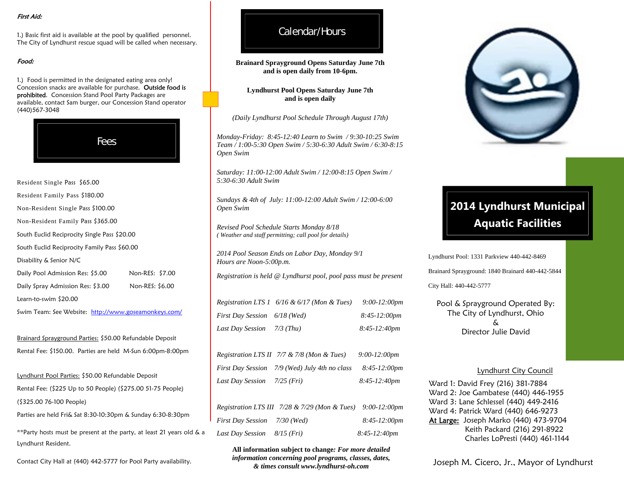#### First Aid:

1.) Basic first aid is available at the pool by qualified personnel. The City of Lyndhurst rescue squad will be called when necessary.

#### Food:

1.) Food is permitted in the designated eating area only! Concession snacks are available for purchase. Outside food is prohibited. Concession Stand Pool Party Packages are available, contact Sam burger, our Concession Stand operator (440)567-3048



Resident Single Pass \$65.00 Resident Family Pass \$180.00 Non-Resident Single Pass \$100.00 Non-Resident Family Pass \$365.00 South Euclid Reciprocity Single Pass \$20.00 South Euclid Reciprocity Family Pass \$60.00 Disability & Senior N/C Daily Pool Admission Res: \$5.00 Non-RES: \$7.00 Daily Spray Admission Res: \$3.00 Non-RES: \$6.00 Learn-to-swim \$20.00

Swim Team: See Website: http://www.goseamonkeys.com/

Brainard Sprayground Parties: \$50.00 Refundable Deposit Rental Fee: \$150.00. Parties are held M-Sun 6:00pm-8:00pm

Lyndhurst Pool Parties: \$50.00 Refundable Deposit Rental Fee: (\$225 Up to 50 People) (\$275.00 51-75 People) (\$325.00 76-100 People)

Parties are held Fri& Sat 8:30-10:30pm & Sunday 6:30-8:30pm

\*\*Party hosts must be present at the party, at least 21 years old & a Lyndhurst Resident.

Contact City Hall at (440) 442-5777 for Pool Party availability.

## Calendar/Hours

**Brainard Sprayground Opens Saturday June 7th and is open daily from 10-6pm.**

**Lyndhurst Pool Opens Saturday June 7th and is open daily** 

*(Daily Lyndhurst Pool Schedule Through August 17th)* 

*Monday-Friday: 8:45-12:40 Learn to Swim / 9:30-10:25 Swim Team / 1:00-5:30 Open Swim / 5:30-6:30 Adult Swim / 6:30-8:15 Open Swim* 

*Saturday: 11:00-12:00 Adult Swim / 12:00-8:15 Open Swim / 5:30-6:30 Adult Swim* 

*Sundays & 4th of July: 11:00-12:00 Adult Swim / 12:00-6:00 Open Swim* 

*Revised Pool Schedule Starts Monday 8/18 ( Weather and staff permitting; call pool for details)*

*2014 Pool Season Ends on Labor Day, Monday 9/1 Hours are Noon-5:00p.m.* 

*Registration is held @ Lyndhurst pool, pool pass must be present* 

*Registration LTS 1 6/16 & 6/17 (Mon & Tues) 9:00-12:00pm First Day Session 6/18 (Wed) 8:45-12:00pm Last Day Session 7/3 (Thu) 8:45-12:40pm* 

*Registration LTS II 7/7 & 7/8 (Mon & Tues) 9:00-12:00pm First Day Session 7/9 (Wed) July 4th no class 8:45-12:00pm Last Day Session 7/25 (Fri) 8:45-12:40pm* 

|                              | Registration LTS III $7/28 \& 7/29$ (Mon & Tues) $9:00-12:00 \text{pm}$ |                 |
|------------------------------|-------------------------------------------------------------------------|-----------------|
| First Day Session 7/30 (Wed) |                                                                         | $8:45-12:00$ pm |
| Last Day Session             | $8/15$ (Fri)                                                            | $8:45-12:40pm$  |

**All information subject to change***: For more detailed information concerning pool programs, classes, dates, & times consult www.lyndhurst-oh.com* 



# **2014 Lyndhurst Municipal Aquatic Facilities**

Lyndhurst Pool: 1331 Parkview 440-442-8469

Brainard Sprayground: 1840 Brainard 440-442-5844

City Hall: 440-442-5777

Pool & Sprayground Operated By: The City of Lyndhurst, Ohio & Director Julie David

#### Lyndhurst City Council

Ward 1: David Frey (216) 381-7884 Ward 2: Joe Gambatese (440) 446-1955 Ward 3: Lane Schlessel (440) 449-2416 Ward 4: Patrick Ward (440) 646-9273 At Large: Joseph Marko (440) 473-9704 Keith Packard (216) 291-8922 Charles LoPresti (440) 461-1144

Joseph M. Cicero, Jr., Mayor of Lyndhurst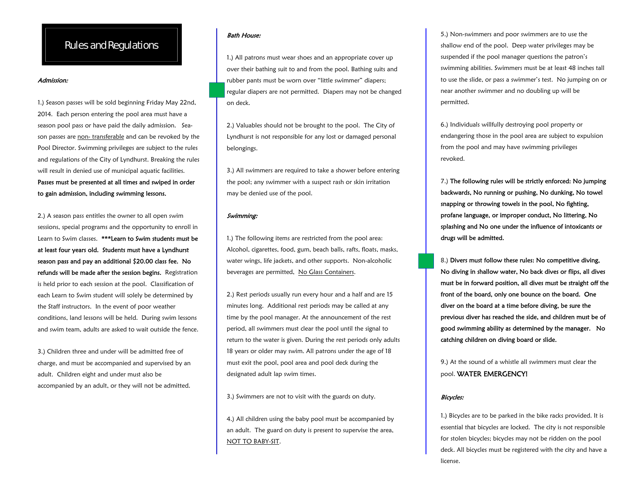## Rules and Regulations

#### Admission:

1.) Season passes will be sold beginning Friday May 22nd, 2014. Each person entering the pool area must have a season pool pass or have paid the daily admission. Season passes are non- transferable and can be revoked by the Pool Director. Swimming privileges are subject to the rules and regulations of the City of Lyndhurst. Breaking the rules will result in denied use of municipal aquatic facilities. Passes must be presented at all times and swiped in order

to gain admission, including swimming lessons.

2.) A season pass entitles the owner to all open swim sessions, special programs and the opportunity to enroll in Learn to Swim classes. \*\*\*L**earn to Swim students must be** at least four years old. Students must have a Lyndhurst season pass and pay an additional \$20.00 class fee. No refunds will be made after the session begins. Registration is held prior to each session at the pool. Classification of each Learn to Swim student will solely be determined by the Staff instructors. In the event of poor weather conditions, land lessons will be held. During swim lessons and swim team, adults are asked to wait outside the fence.

3.) Children three and under will be admitted free of charge, and must be accompanied and supervised by an adult. Children eight and under must also be accompanied by an adult, or they will not be admitted.

#### Bath House:

1.) All patrons must wear shoes and an appropriate cover up over their bathing suit to and from the pool. Bathing suits and rubber pants must be worn over "little swimmer" diapers; regular diapers are not permitted. Diapers may not be changed on deck.

2.) Valuables should not be brought to the pool. The City of Lyndhurst is not responsible for any lost or damaged personal belongings.

3.) All swimmers are required to take a shower before entering the pool; any swimmer with a suspect rash or skin irritation may be denied use of the pool.

#### Swimming:

1.) The following items are restricted from the pool area: Alcohol, cigarettes, food, gum, beach balls, rafts, floats, masks, water wings, life jackets, and other supports. Non-alcoholic beverages are permitted, No Glass Containers.

2.) Rest periods usually run every hour and a half and are 15 minutes long. Additional rest periods may be called at any time by the pool manager. At the announcement of the rest period, all swimmers must clear the pool until the signal to return to the water is given. During the rest periods only adults 18 years or older may swim. All patrons under the age of 18 must exit the pool, pool area and pool deck during the designated adult lap swim times.

3.) Swimmers are not to visit with the guards on duty.

4.) All children using the baby pool must be accompanied by an adult. The guard on duty is present to supervise the area, NOT TO BABY-SIT.

5.) Non-swimmers and poor swimmers are to use the shallow end of the pool. Deep water privileges may be suspended if the pool manager questions the patron's swimming abilities. Swimmers must be at least 48 inches tall to use the slide, or pass a swimmer's test. No jumping on or near another swimmer and no doubling up will be permitted.

6.) Individuals willfully destroying pool property or endangering those in the pool area are subject to expulsion from the pool and may have swimming privileges revoked.

7.) The following rules will be strictly enforced: No jumping backwards, No running or pushing, No dunking, No towel snapping or throwing towels in the pool, No fighting, profane language, or improper conduct, No littering, No splashing and No one under the influence of intoxicants or drugs will be admitted.<br>8.) Divers must follow these rules: No competitive diving,

No diving in shallow water, No back dives or flips, all dives must be in forward position, all dives must be straight off the front of the board, only one bounce on the board. One diver on the board at a time before diving, be sure the previous diver has reached the side, and children must be of good swimming ability as determined by the manager. No catching children on diving board or slide.

9.) At the sound of a whistle all swimmers must clear the pool. WATER EMERGENCY!

#### Bicycles:

1.) Bicycles are to be parked in the bike racks provided. It is essential that bicycles are locked. The city is not responsible for stolen bicycles; bicycles may not be ridden on the pool deck. All bicycles must be registered with the city and have a license.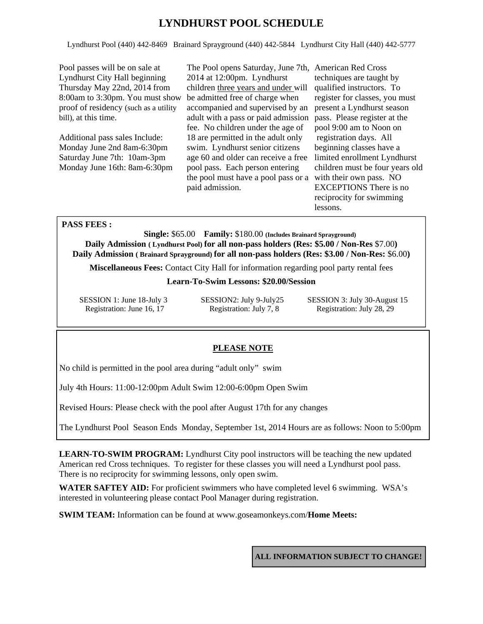## **LYNDHURST POOL SCHEDULE**

Lyndhurst Pool (440) 442-8469 Brainard Sprayground (440) 442-5844 Lyndhurst City Hall (440) 442-5777

Pool passes will be on sale at Lyndhurst City Hall beginning Thursday May 22nd, 2014 from 8:00am to 3:30pm. You must show proof of residency (such as a utility bill), at this time.

Additional pass sales Include: Monday June 2nd 8am-6:30pm Saturday June 7th: 10am-3pm Monday June 16th: 8am-6:30pm

The Pool opens Saturday, June 7th, American Red Cross 2014 at 12:00pm. Lyndhurst children three years and under will be admitted free of charge when accompanied and supervised by an adult with a pass or paid admission fee. No children under the age of 18 are permitted in the adult only swim. Lyndhurst senior citizens age 60 and older can receive a free pool pass. Each person entering the pool must have a pool pass or a with their own pass. NO paid admission.

techniques are taught by qualified instructors. To register for classes, you must present a Lyndhurst season pass. Please register at the pool 9:00 am to Noon on registration days. All beginning classes have a limited enrollment Lyndhurst children must be four years old EXCEPTIONS There is no reciprocity for swimming lessons.

### **PASS FEES :**

 **Single:** \$65.00 **Family:** \$180.00 **(Includes Brainard Sprayground) Daily Admission ( Lyndhurst Pool) for all non-pass holders (Res: \$5.00 / Non-Res** \$7.00**) Daily Admission ( Brainard Sprayground) for all non-pass holders (Res: \$3.00 / Non-Res:** \$6.00**)** 

**Miscellaneous Fees:** Contact City Hall for information regarding pool party rental fees

### **Learn-To-Swim Lessons: \$20.00/Session**

Registration: June 16, 17 Registration: July 7, 8 Registration: July 28, 29

SESSION 1: June 18-July 3 SESSION2: July 9-July25 SESSION 3: July 30-August 15

### **PLEASE NOTE**

No child is permitted in the pool area during "adult only" swim

July 4th Hours: 11:00-12:00pm Adult Swim 12:00-6:00pm Open Swim

Revised Hours: Please check with the pool after August 17th for any changes

The Lyndhurst Pool Season Ends Monday, September 1st, 2014 Hours are as follows: Noon to 5:00pm

**LEARN-TO-SWIM PROGRAM:** Lyndhurst City pool instructors will be teaching the new updated American red Cross techniques. To register for these classes you will need a Lyndhurst pool pass. There is no reciprocity for swimming lessons, only open swim.

WATER SAFTEY AID: For proficient swimmers who have completed level 6 swimming. WSA's interested in volunteering please contact Pool Manager during registration.

**SWIM TEAM:** Information can be found at www.goseamonkeys.com/**Home Meets:** 

**ALL INFORMATION SUBJECT TO CHANGE!**